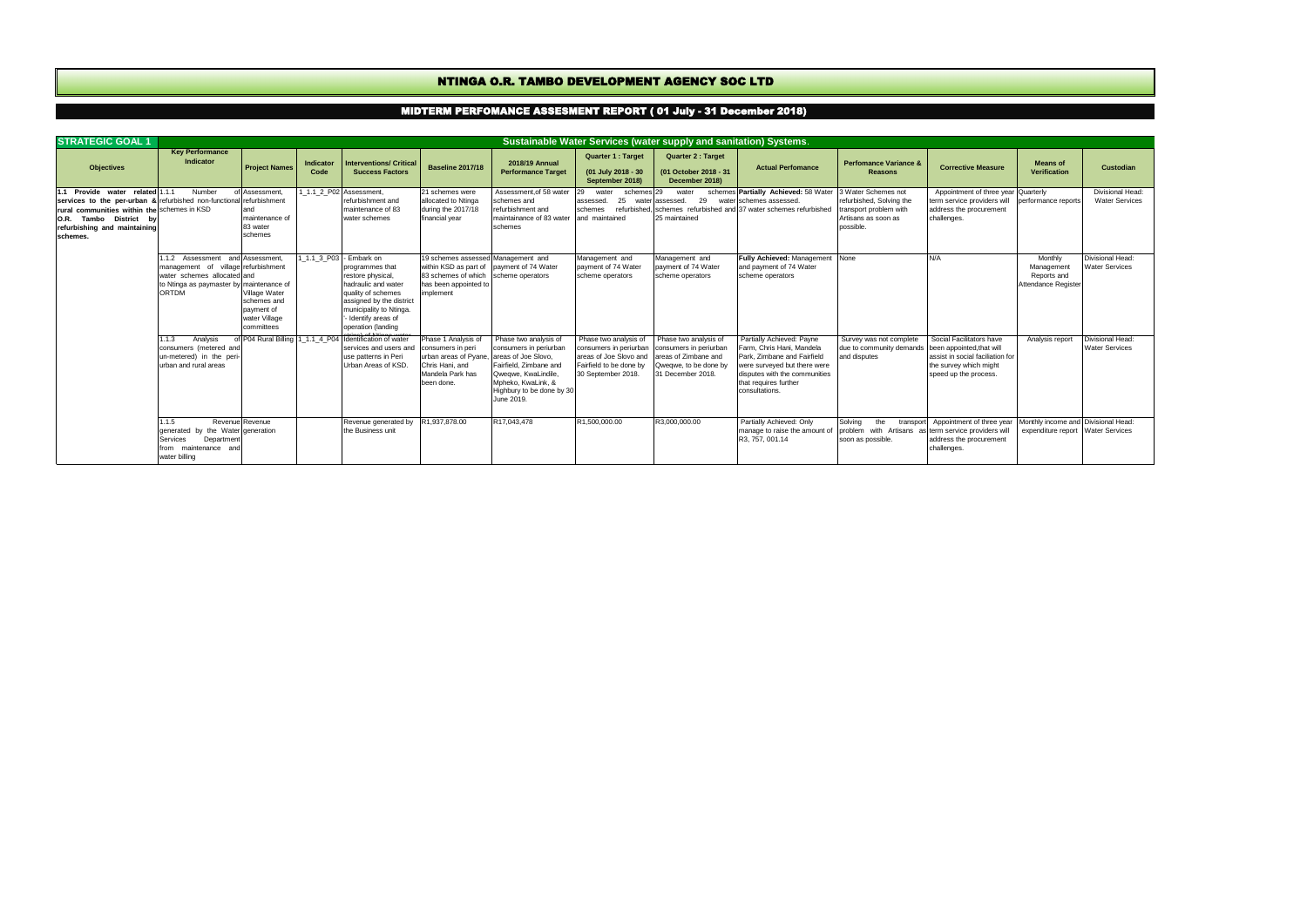| <b>STRATEGIC GOAL 1</b>                                                                                                                                                                                            |                                                                                                                                             |                                                                                              |                   |                                                                                                                                                                                                                  |                                                                                                                                                               |                                                                                                                                                                   |                                                                                                                                                 | Sustainable Water Services (water supply and sanitation) Systems.                             |                                                                                                                                                                                                   |                                                                                                               |                                                                                                                                              |                                                                          |                                                  |
|--------------------------------------------------------------------------------------------------------------------------------------------------------------------------------------------------------------------|---------------------------------------------------------------------------------------------------------------------------------------------|----------------------------------------------------------------------------------------------|-------------------|------------------------------------------------------------------------------------------------------------------------------------------------------------------------------------------------------------------|---------------------------------------------------------------------------------------------------------------------------------------------------------------|-------------------------------------------------------------------------------------------------------------------------------------------------------------------|-------------------------------------------------------------------------------------------------------------------------------------------------|-----------------------------------------------------------------------------------------------|---------------------------------------------------------------------------------------------------------------------------------------------------------------------------------------------------|---------------------------------------------------------------------------------------------------------------|----------------------------------------------------------------------------------------------------------------------------------------------|--------------------------------------------------------------------------|--------------------------------------------------|
| <b>Objectives</b>                                                                                                                                                                                                  | <b>Key Performance</b><br>Indicator                                                                                                         | <b>Project Names</b>                                                                         | Indicator<br>Code | <b>Interventions/ Critical</b><br><b>Success Factors</b>                                                                                                                                                         | <b>Baseline 2017/18</b>                                                                                                                                       | 2018/19 Annual<br><b>Performance Target</b>                                                                                                                       | <b>Quarter 1: Target</b><br>(01 July 2018 - 30<br>September 2018)                                                                               | <b>Quarter 2: Target</b><br>(01 October 2018 - 31<br>December 2018)                           | <b>Actual Perfomance</b>                                                                                                                                                                          | <b>Perfomance Variance &amp;</b><br><b>Reasons</b>                                                            | <b>Corrective Measure</b>                                                                                                                    | <b>Means of</b><br>Verification                                          | Custodian                                        |
| Provide water related<br>services to the per-urban & refurbished non-functional refurbishment<br>rural communities within the schemes in KSD<br>O.R. Tambo District by<br>refurbishing and maintaining<br>schemes. | Number                                                                                                                                      | of Assessment.<br>maintenance of<br>83 water<br>schemes                                      |                   | 1.1 2 P02 Assessment.<br>refurbishment and<br>maintenance of 83<br>water schemes                                                                                                                                 | 21 schemes were<br>allocated to Ntinga<br>during the 2017/18<br>financial year                                                                                | Assessment.of 58 water<br>schemes and<br>refurbishment and<br>maintainance of 83 water<br>schemes                                                                 | 29<br>water<br>schemes 29<br>25<br>assessed.<br>wate<br>schemes<br>and maintained                                                               | water<br>29<br>r assessed.<br>25 maintained                                                   | schemes Partially Achieved: 58 Water<br>water schemes assessed.<br>refurbished. schemes refurbished and 37 water schemes refurbished                                                              | 3 Water Schemes not<br>refurbished. Solving the<br>transport problem with<br>Artisans as soon as<br>possible. | Appointment of three year Quarterly<br>term service providers will performance reports<br>address the procurement<br>challenges.             |                                                                          | Divisional Head:<br><b>Water Services</b>        |
|                                                                                                                                                                                                                    | 1.1.2 Assessment<br>management of village refurbishment<br>water schemes allocated and<br>to Ntinga as paymaster by maintenance of<br>ORTDM | and Assessment.<br>Village Water<br>schemes and<br>payment of<br>water Village<br>committees |                   | 1 1.1 3 P03 - Embark on<br>programmes that<br>restore physical,<br>hadraulic and water<br>quality of schemes<br>assigned by the district<br>municipality to Ntinga.<br>- Identify areas of<br>operation (landing | 19 schemes assessed Management and<br>within KSD as part of payment of 74 Water<br>83 schemes of which scheme operators<br>has been appointed to<br>implement |                                                                                                                                                                   | Management and<br>payment of 74 Water<br>scheme operators                                                                                       | Management and<br>payment of 74 Water<br>scheme operators                                     | Fully Achieved: Management None<br>and payment of 74 Water<br>scheme operators                                                                                                                    |                                                                                                               | N/A                                                                                                                                          | Monthly<br>Management<br>Reports and<br>Attendance Register              | Divisional Head:<br><b>Water Services</b>        |
|                                                                                                                                                                                                                    | Analysis<br>1.1.3<br>consumers (metered and<br>un-metered) in the peri<br>urban and rural areas                                             |                                                                                              |                   | of P04 Rural Billing 1 1.1 4 P04 Ildentification of water<br>services and users and<br>use patterns in Peri<br>Urban Areas of KSD.                                                                               | Phase 1 Analysis of<br>consumers in peri<br>urban areas of Pyane, areas of Joe Slovo,<br>Chris Hani, and<br>Mandela Park has<br>been done.                    | Phase two analysis of<br>consumers in periurban<br>Fairfield. Zimbane and<br>Qweawe, KwaLindile.<br>Mpheko, KwaLink, &<br>Highbury to be done by 30<br>June 2019. | Phase two analysis of<br>consumers in periurban<br>areas of Joe Slovo and areas of Zimbane and<br>Fairfield to be done by<br>30 September 2018. | Phase two analysis of<br>consumers in periurban<br>Qweqwe, to be done by<br>31 December 2018. | Partially Achieved: Payne<br>Farm, Chris Hani, Mandela<br>Park. Zimbane and Fairfield<br>were surveyed but there were<br>disputes with the communities<br>that requires further<br>consultations. | Survey was not complete<br>due to community demands<br>and disputes                                           | Social Facilitators have<br>been appointed, that will<br>assist in social faciliation for<br>the survey which might<br>speed up the process. | Analysis report                                                          | <b>Divisional Head:</b><br><b>Water Services</b> |
|                                                                                                                                                                                                                    | 115<br>generated by the Water generation<br>Department<br><b>Services</b><br>from maintenance an<br>water billing                           | Revenue Revenue                                                                              |                   | Revenue generated by<br>the Business unit                                                                                                                                                                        | R1.937.878.00                                                                                                                                                 | R17.043.478                                                                                                                                                       | R1.500.000.00                                                                                                                                   | R3.000.000.00                                                                                 | Partially Achieved: Only<br>manage to raise the amount of<br>R3, 757, 001.14                                                                                                                      | Solvina<br>the<br>problem with Artisans as term service providers will<br>soon as possible.                   | transport Appointment of three year<br>address the procurement<br>challenges.                                                                | Monthly income and Divisional Head:<br>expenditure report Water Services |                                                  |

## NTINGA O.R. TAMBO DEVELOPMENT AGENCY SOC LTD

## MIDTERM PERFOMANCE ASSESMENT REPORT ( 01 July - 31 December 2018)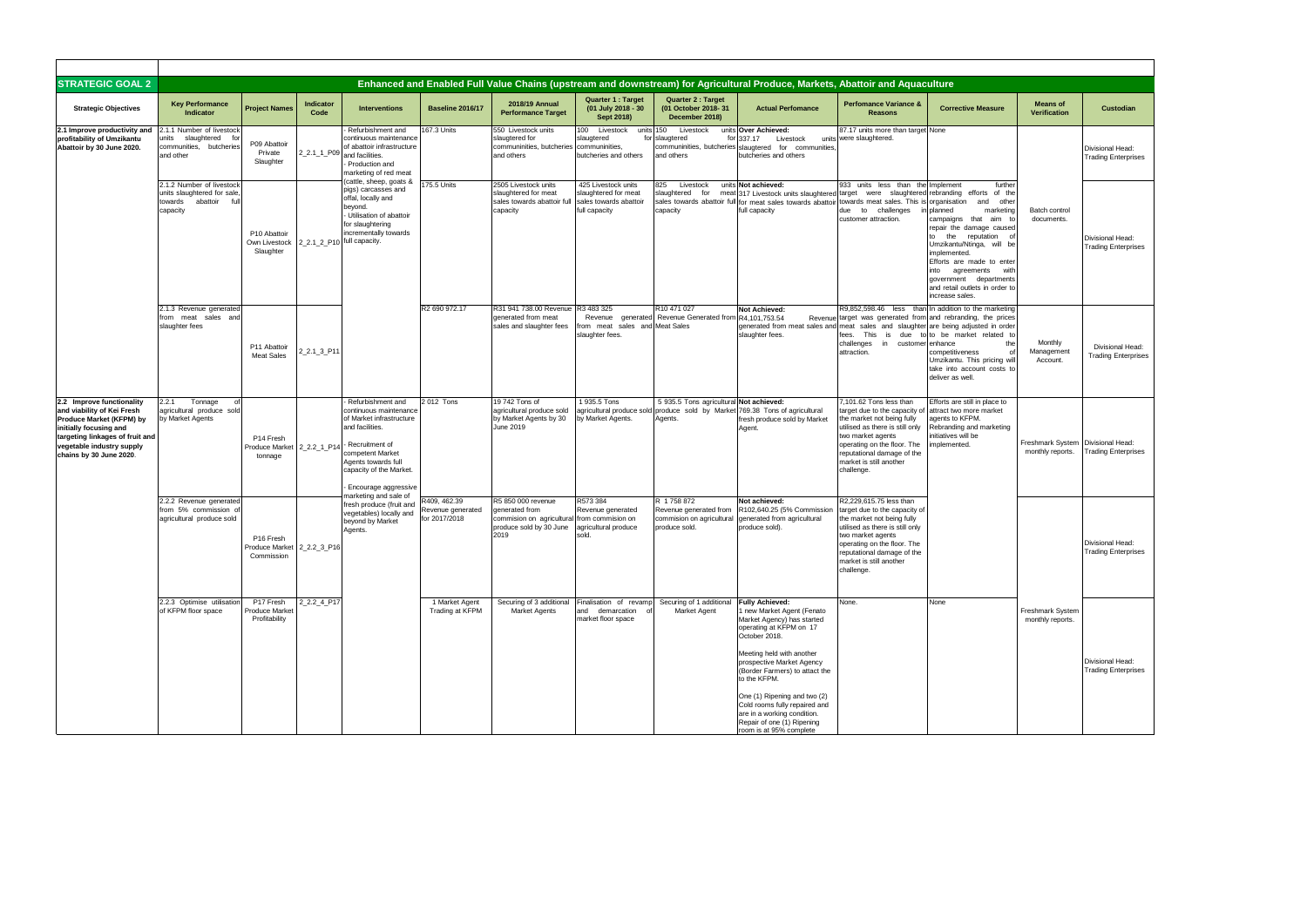| <b>STRATEGIC GOAL 2</b>                                                                                                                                                                                  |                                                                                                   |                                                                   |                            |                                                                                                                                                                                                              |                                                    |                                                                                                      |                                                                                           |                                                                                    | Enhanced and Enabled Full Value Chains (upstream and downstream) for Agricultural Produce, Markets, Abattoir and Aquaculture                                                                                                                                                                                                                                                                        |                                                                                                                                                                                                                                                      |                                                                                                                                                                                                                                                                                                                                     |                                                         |                                                       |
|----------------------------------------------------------------------------------------------------------------------------------------------------------------------------------------------------------|---------------------------------------------------------------------------------------------------|-------------------------------------------------------------------|----------------------------|--------------------------------------------------------------------------------------------------------------------------------------------------------------------------------------------------------------|----------------------------------------------------|------------------------------------------------------------------------------------------------------|-------------------------------------------------------------------------------------------|------------------------------------------------------------------------------------|-----------------------------------------------------------------------------------------------------------------------------------------------------------------------------------------------------------------------------------------------------------------------------------------------------------------------------------------------------------------------------------------------------|------------------------------------------------------------------------------------------------------------------------------------------------------------------------------------------------------------------------------------------------------|-------------------------------------------------------------------------------------------------------------------------------------------------------------------------------------------------------------------------------------------------------------------------------------------------------------------------------------|---------------------------------------------------------|-------------------------------------------------------|
| <b>Strategic Objectives</b>                                                                                                                                                                              | <b>Key Performance</b><br>Indicator                                                               | <b>Project Names</b>                                              | Indicator<br>Code          | <b>Interventions</b>                                                                                                                                                                                         | <b>Baseline 2016/17</b>                            | 2018/19 Annual<br><b>Performance Target</b>                                                          | <b>Quarter 1: Target</b><br>(01 July 2018 - 30<br>Sept 2018)                              | <b>Quarter 2: Target</b><br>(01 October 2018-31<br>December 2018)                  | <b>Actual Perfomance</b>                                                                                                                                                                                                                                                                                                                                                                            | <b>Perfomance Variance &amp;</b><br><b>Reasons</b>                                                                                                                                                                                                   | <b>Corrective Measure</b>                                                                                                                                                                                                                                                                                                           | <b>Means of</b><br><b>Verification</b>                  | Custodian                                             |
| 2.1 Improve productivity and<br>profitability of Umzikantu<br>Abattoir by 30 June 2020.                                                                                                                  | 2.1.1 Number of livestock<br>units slaughtered fo<br>communities, butcheries<br>and other         | P09 Abattoir<br>Private<br>Slaughter                              |                            | Refurbishment and<br>continuous maintenance<br>of abattoir infrastructure<br>$2_2.1_1$ P09 and facilities.<br>Production and<br>marketing of red meat                                                        | 167.3 Units                                        | 550 Livestock units<br>slaugtered for<br>communinities, butcheries communinities,<br>and others      | 100 Livestock<br>units 150<br>slaugtered<br>butcheries and others                         | Livestock<br>for slaugtered<br>and others                                          | units Over Achieved:<br>for 337.17<br>Livestock<br>communinities, butcheries slaugtered for communities<br>butcheries and others                                                                                                                                                                                                                                                                    | 87.17 units more than target None<br>units were slaughtered.                                                                                                                                                                                         |                                                                                                                                                                                                                                                                                                                                     |                                                         | Divisional Head:<br><b>Trading Enterprises</b>        |
|                                                                                                                                                                                                          | 2.1.2 Number of livestock<br>units slaughtered for sale<br>towards<br>abattoir<br>ful<br>capacity | P10 Abattoir<br>Own Livestock<br>Slaughter                        | 2_2.1_2_P10 full capacity. | cattle, sheep, goats &<br>pigs) carcasses and<br>offal, locally and<br>beyond.<br>- Utilisation of abattoir<br>for slaughtering<br>incrementally towards                                                     | 175.5 Units                                        | 2505 Livestock units<br>slaughtered for meat<br>sales towards abattoir full<br>capacity              | 425 Livestock units<br>slaughtered for meat<br>sales towards abattoir<br>full capacity    | 825<br>Livestock<br>for<br>slaughtered<br>capacity                                 | units Not achieved:<br>meat 317 Livestock units slaughtered target were slaughtered rebranding efforts of the<br>sales towards abattoir full for meat sales towards abattoir<br>full capacity                                                                                                                                                                                                       | 933 units less than the Implement<br>towards meat sales. This is<br>due to challenges<br>customer attraction.                                                                                                                                        | further<br>organisation<br>and<br>other<br>marketing<br>planned<br>campaigns that<br>aim to<br>repair the damage caused<br>the reputation<br>to<br>Umzikantu/Ntinga, will be<br>implemented.<br>Efforts are made to enter<br>into agreements<br>with<br>government departments<br>and retail outlets in order to<br>increase sales. | Batch control<br>documents.                             | Divisional Head:<br><b>Trading Enterprises</b>        |
|                                                                                                                                                                                                          | 2.1.3 Revenue generated<br>from meat sales and<br>slaughter fees                                  | P11 Abattoir<br><b>Meat Sales</b>                                 | 2_2.1_3_P11                |                                                                                                                                                                                                              | R2 690 972.17                                      | R31 941 738.00 Revenue<br>generated from meat<br>sales and slaughter fees                            | R3 483 325<br>Revenue<br>generated<br>from meat<br>sales and Meat Sales<br>slaughter fees | R10 471 027<br>Revenue Generated from                                              | Not Achieved:<br>R4,101,753.54<br>generated from meat sales and meat sales and slaughter are being adjusted in order<br>slaughter fees.                                                                                                                                                                                                                                                             | Revenue target was generated from and rebranding, the prices<br>fees. This<br>challenges in customer enhance<br>attraction.                                                                                                                          | R9,852,598.46 less than In addition to the marketing<br>is due to to be market related to<br>the<br>competitiveness<br>Umzikantu. This pricing will<br>take into account costs to<br>deliver as well.                                                                                                                               | Monthly<br>Management<br>Account.                       | Divisional Head:<br><b>Trading Enterprises</b>        |
| 2.2 Improve functionality<br>and viability of Kei Fresh<br>Produce Market (KFPM) by<br>initially focusing and<br>targeting linkages of fruit and<br>vegetable industry supply<br>chains by 30 June 2020. | Tonnage<br>2.2.1<br>agricultural produce sold<br>by Market Agents                                 | P14 Fresh<br>Produce Market 2_2.2_1_P14<br>tonnage                |                            | Refurbishment and<br>continuous maintenance<br>of Market infrastructure<br>and facilities.<br>- Recruitment of<br>competent Market<br>Agents towards full<br>capacity of the Market.<br>Encourage aggressive | 2012 Tons                                          | 19 742 Tons of<br>agricultural produce sold<br>by Market Agents by 30<br>June 2019                   | 1 935.5 Tons<br>agricultural produce sold<br>by Market Agents.                            | 5 935.5 Tons agricultural Not achieved:<br>Agents.                                 | produce sold by Market 769.38 Tons of agricultural<br>fresh produce sold by Market<br>Agent.                                                                                                                                                                                                                                                                                                        | 7,101.62 Tons less than<br>arget due to the capacity of<br>the market not being fully<br>utilised as there is still only<br>two market agents<br>operating on the floor. The<br>reputational damage of the<br>market is still another<br>challenge.  | Efforts are still in place to<br>attract two more market<br>agents to KFPM.<br>Rebranding and marketing<br>initiatives will be<br>mplemented.                                                                                                                                                                                       | Freshmark System   Divisional Head:<br>monthly reports. | <b>Trading Enterprises</b>                            |
|                                                                                                                                                                                                          | 2.2.2 Revenue generated<br>from 5% commission of<br>agricultural produce sold                     | P <sub>16</sub> Fresh<br>Produce Market 2_2.2_3_P16<br>Commission |                            | narketing and sale of<br>fresh produce (fruit and<br>vegetables) locally and<br>beyond by Market<br>Agents.                                                                                                  | R409, 462.39<br>Revenue generated<br>for 2017/2018 | R5 850 000 revenue<br>generated from<br>commision on agricultural<br>produce sold by 30 June<br>2019 | R573 384<br>Revenue generated<br>from commision on<br>agricultural produce<br>sold.       | R 1758 872<br>Revenue generated from<br>commision on agricultural<br>produce sold. | Not achieved:<br>R102,640.25 (5% Commission<br>generated from agricultural<br>produce sold).                                                                                                                                                                                                                                                                                                        | R2.229.615.75 less than<br>target due to the capacity of<br>the market not being fully<br>utilised as there is still only<br>two market agents<br>operating on the floor. The<br>reputational damage of the<br>market is still another<br>challenge. |                                                                                                                                                                                                                                                                                                                                     |                                                         | Divisional Head:<br><b>Trading Enterprises</b>        |
|                                                                                                                                                                                                          | 2.2.3 Optimise utilisation<br>of KFPM floor space                                                 | P17 Fresh<br><b>Produce Market</b><br>Profitability               | 2 2.2 4 P17                |                                                                                                                                                                                                              | 1 Market Agent<br>Trading at KFPM                  | Securing of 3 additional<br><b>Market Agents</b>                                                     | Finalisation of revamp<br>and demarcation<br>market floor space                           | Securing of 1 additional<br><b>Market Agent</b>                                    | <b>Fully Achieved:</b><br>1 new Market Agent (Fenato<br>Market Agency) has started<br>operating at KFPM on 17<br>October 2018.<br>Meeting held with another<br>prospective Market Agency<br>(Border Farmers) to attact the<br>to the KFPM.<br>One (1) Ripening and two (2)<br>Cold rooms fully repaired and<br>are in a working condition.<br>Repair of one (1) Ripening<br>room is at 95% complete | None.                                                                                                                                                                                                                                                | None                                                                                                                                                                                                                                                                                                                                | Freshmark System<br>monthly reports.                    | <b>Divisional Head:</b><br><b>Trading Enterprises</b> |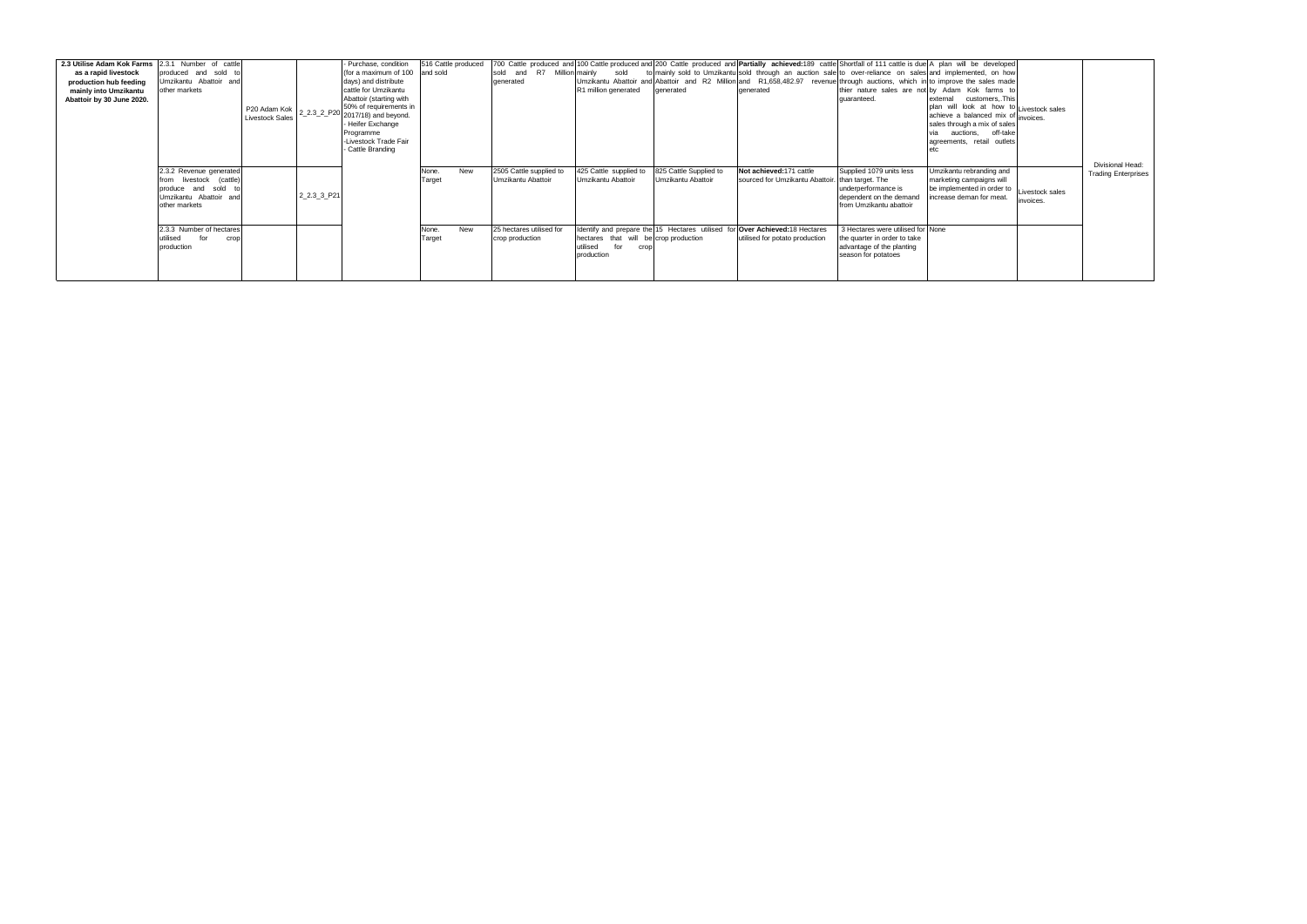| 2.3 Utilise Adam Kok Farms<br>as a rapid livestock<br>production hub feeding<br>mainly into Umzikantu<br>Abattoir by 30 June 2020. | 2.3.1 Number of cattle<br>produced and sold to<br>Umzikantu Abattoir and<br>other markets                         | P20 Adam Kok<br><b>Livestock Sales</b> |             | - Purchase, condition<br>(for a maximum of 100<br>days) and distribute<br>cattle for Umzikantu<br>Abattoir (starting with<br>50% of requirements in<br>$22.32 P20 2017/18$ ) and beyond.<br>- Heifer Exchange<br>Programme<br>-Livestock Trade Fair<br>- Cattle Branding | 516 Cattle produced<br>and sold |     | R7 Million mainly<br>and<br>sold<br>generated | sold<br>R1 million generated                                                   | denerated                                    | 700 Cattle produced and 100 Cattle produced and 200 Cattle produced and <b>Partially achieved:</b> 189 cattle Shortfall of 111 cattle is due A plan will be developed<br>to mainly sold to Umzikantu sold through an auction sale to over-reliance on sales and implemented, on how<br>Umzikantu Abattoir and Abattoir and R2 Million and R1,658,482.97 revenue through auctions, which in to improve the sales made<br>generated | quaranteed.                                                                                                               | thier nature sales are not by Adam Kok farms to<br>external customers, This<br>plan will look at how to Livestock sales<br>achieve a balanced mix of invoices.<br>sales through a mix of sales<br>auctions,<br>off-take<br>agreements, retail outlets |                              | Divisional Head:           |
|------------------------------------------------------------------------------------------------------------------------------------|-------------------------------------------------------------------------------------------------------------------|----------------------------------------|-------------|--------------------------------------------------------------------------------------------------------------------------------------------------------------------------------------------------------------------------------------------------------------------------|---------------------------------|-----|-----------------------------------------------|--------------------------------------------------------------------------------|----------------------------------------------|-----------------------------------------------------------------------------------------------------------------------------------------------------------------------------------------------------------------------------------------------------------------------------------------------------------------------------------------------------------------------------------------------------------------------------------|---------------------------------------------------------------------------------------------------------------------------|-------------------------------------------------------------------------------------------------------------------------------------------------------------------------------------------------------------------------------------------------------|------------------------------|----------------------------|
|                                                                                                                                    | 2.3.2 Revenue generated<br>from livestock (cattle)<br>produce and sold<br>Umzikantu Abattoir and<br>other markets |                                        | 2 2.3 3 P21 |                                                                                                                                                                                                                                                                          | None.<br>Target                 | New | 2505 Cattle supplied to<br>Umzikantu Abattoir | 425 Cattle supplied to<br>Umzikantu Abattoir                                   | 825 Cattle Supplied to<br>Umzikantu Abattoir | Not achieved: 171 cattle<br>sourced for Umzikantu Abattoir.                                                                                                                                                                                                                                                                                                                                                                       | Supplied 1079 units less<br>than target. The<br>underperformance is<br>dependent on the demand<br>from Umzikantu abattoir | Umzikantu rebranding and<br>marketing campaigns will<br>be implemented in order to<br>increase deman for meat.                                                                                                                                        | Livestock sales<br>invoices. | <b>Trading Enterprises</b> |
|                                                                                                                                    | 2.3.3 Number of hectares<br>utilised for<br>crop<br>production                                                    |                                        |             |                                                                                                                                                                                                                                                                          | None.<br>Target                 | New | 25 hectares utilised for<br>crop production   | hectares that will be crop production<br>for<br>utilised<br>crop<br>production |                                              | Identify and prepare the 15 Hectares utilised for Over Achieved: 18 Hectares<br>utilised for potato production                                                                                                                                                                                                                                                                                                                    | 3 Hectares were utilised for None<br>the quarter in order to take<br>advantage of the planting<br>season for potatoes     |                                                                                                                                                                                                                                                       |                              |                            |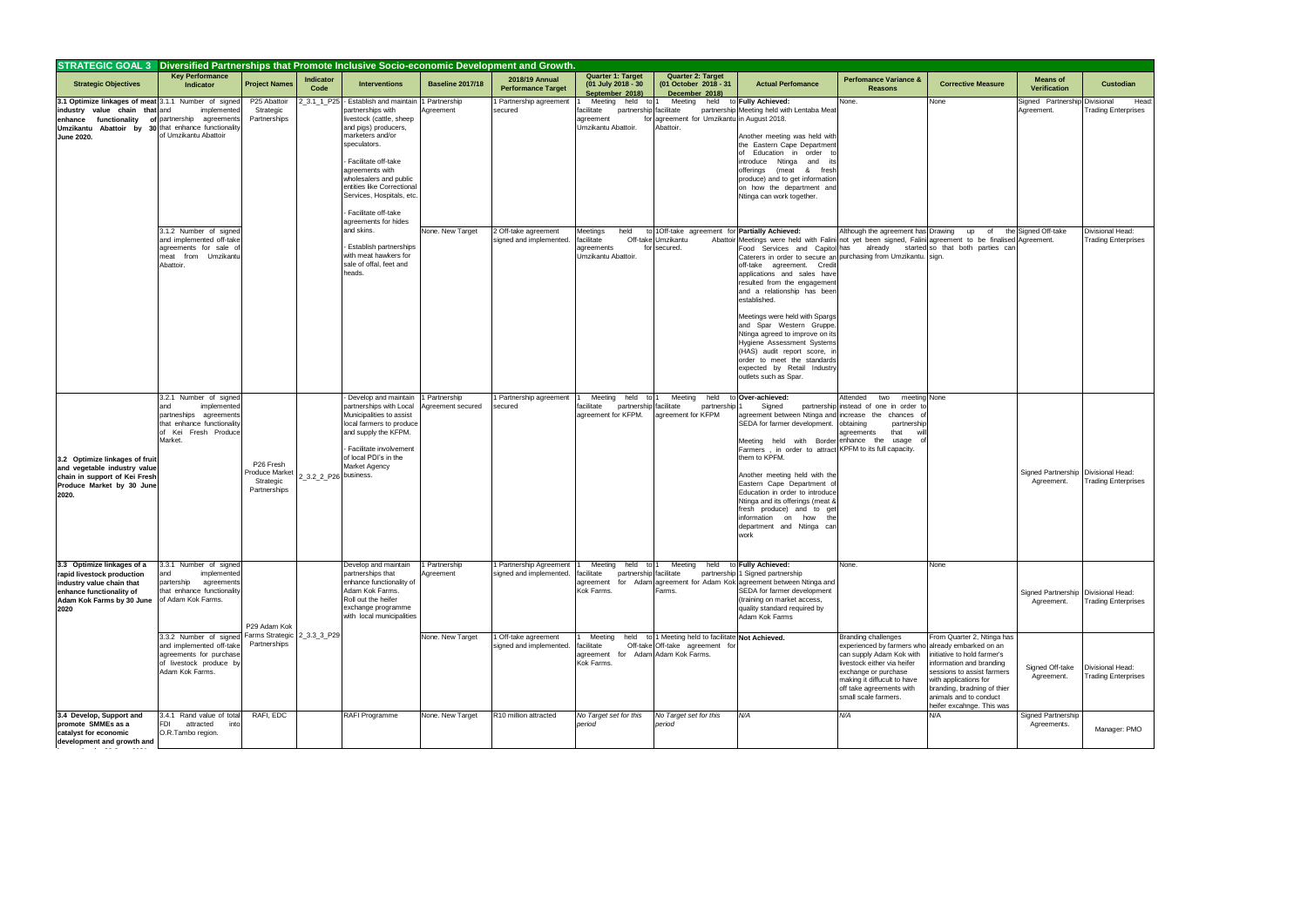| STRATEGIC GOAL 3 Diversified Partnerships that Promote Inclusive Socio-economic Development and Growth.                                                                                    |                                                                                                                                         |                                                                      |                       |                                                                                                                                                                                                                                                                                                                     |                                    |                                                  |                                                                                             |                                                                                                              |                                                                                                                                                                                                                                                                                                                                                                                                                                                                                                                                                                                                                                                       |                                                                                                                                                                                                                                |                                                                                                                                                                                                                                                              |                                                     |                                                |
|--------------------------------------------------------------------------------------------------------------------------------------------------------------------------------------------|-----------------------------------------------------------------------------------------------------------------------------------------|----------------------------------------------------------------------|-----------------------|---------------------------------------------------------------------------------------------------------------------------------------------------------------------------------------------------------------------------------------------------------------------------------------------------------------------|------------------------------------|--------------------------------------------------|---------------------------------------------------------------------------------------------|--------------------------------------------------------------------------------------------------------------|-------------------------------------------------------------------------------------------------------------------------------------------------------------------------------------------------------------------------------------------------------------------------------------------------------------------------------------------------------------------------------------------------------------------------------------------------------------------------------------------------------------------------------------------------------------------------------------------------------------------------------------------------------|--------------------------------------------------------------------------------------------------------------------------------------------------------------------------------------------------------------------------------|--------------------------------------------------------------------------------------------------------------------------------------------------------------------------------------------------------------------------------------------------------------|-----------------------------------------------------|------------------------------------------------|
| <b>Strategic Objectives</b>                                                                                                                                                                | <b>Key Performance</b><br><b>Indicator</b>                                                                                              | <b>Project Names</b>                                                 | Indicator<br>Code     | <b>Interventions</b>                                                                                                                                                                                                                                                                                                | <b>Baseline 2017/18</b>            | 2018/19 Annual<br><b>Performance Target</b>      | Quarter 1: Target<br>(01 July 2018 - 30<br>September 2018)                                  | <b>Quarter 2: Target</b><br>(01 October 2018 - 31<br>December 2018)                                          | <b>Actual Perfomance</b>                                                                                                                                                                                                                                                                                                                                                                                                                                                                                                                                                                                                                              | <b>Perfomance Variance &amp;</b><br><b>Reasons</b>                                                                                                                                                                             | <b>Corrective Measure</b>                                                                                                                                                                                                                                    | <b>Means of</b><br><b>Verification</b>              | Custodian                                      |
| 3.1 Optimize linkages of meat 3.1.1 Number of signed<br>industry value chain that and<br>enhance functionality<br>Umzikantu Abattoir by 30 that enhance functionality<br><b>June 2020.</b> | implemented<br>of partnership agreements<br>of Umzikantu Abattoir                                                                       | P25 Abattoir<br>Strategic<br>Partnerships                            | 2_3.1_1_P25           | - Establish and maintain<br>partnerships with<br>livestock (cattle, sheep<br>and pigs) producers,<br>marketers and/or<br>speculators.<br>Facilitate off-take<br>agreements with<br>wholesalers and public<br>entities like Correctional<br>Services, Hospitals, etc.<br>Facilitate off-take<br>agreements for hides | 1 Partnership<br>Agreement         | I Partnership agreement<br>secured               | Meeting<br>held<br>iacilitate<br>partnership facilitate<br>agreement<br>Umzikantu Abattoir. | Meeting held to Fully Achieved:<br>for agreement for Umzikantu in August 2018.<br>Abattoir.                  | partnership Meeting held with Lentaba Mea<br>Another meeting was held with<br>the Eastern Cape Departmen<br>of Education in order to<br>introduce Ntinga and it:<br>offerings (meat & fresh<br>produce) and to get information<br>on how the department and<br>Ntinga can work together.                                                                                                                                                                                                                                                                                                                                                              | None.                                                                                                                                                                                                                          | None                                                                                                                                                                                                                                                         | Signed Partnership Divisional<br>Agreement.         | Head<br><b>Trading Enterprises</b>             |
|                                                                                                                                                                                            | 3.1.2 Number of signed<br>and implemented off-take<br>agreements for sale of<br>meat from Umzikantu<br>Abattoir.                        |                                                                      |                       | and skins.<br><b>Establish partnerships</b><br>with meat hawkers for<br>sale of offal, feet and<br>heads.                                                                                                                                                                                                           | None. New Target                   | 2 Off-take agreement<br>signed and implemented.  | Meetings<br>held<br>acilitate<br>agreements<br>Umzikantu Abattoir                           | to 10ff-take agreement for Partially Achieved:<br>Off-take Umzikantu<br>for secured.                         | Abattoir Meetings were held with Falini not yet been signed, Falini agreement to be finalised Agreement.<br>Food Services and Capitol has already started so that both parties can<br>Caterers in order to secure an purchasing from Umzikantu. sign.<br>off-take agreement. Credit<br>applications and sales have<br>resulted from the engagemen<br>and a relationship has been<br>established.<br>Meetings were held with Spargs<br>and Spar Western Gruppe<br>Ntinga agreed to improve on its<br>Hygiene Assessment System:<br>(HAS) audit report score, in<br>order to meet the standards<br>expected by Retail Industry<br>outlets such as Spar. | Although the agreement has Drawing                                                                                                                                                                                             | of<br>up                                                                                                                                                                                                                                                     | the Signed Off-take                                 | Divisional Head:<br><b>Trading Enterprises</b> |
| 3.2 Optimize linkages of fruit<br>and vegetable industry value<br>chain in support of Kei Fresh<br>Produce Market by 30 June<br>2020.                                                      | 3.2.1 Number of signed<br>and<br>implemented<br>partneships agreements<br>that enhance functionality<br>of Kei Fresh Produce<br>Market. | P <sub>26</sub> Fresh<br>Produce Market<br>Strategic<br>Partnerships | 2_3.2_2_P26 business. | Develop and maintain<br>partnerships with Local<br>Municipalities to assist<br>local farmers to produce<br>and supply the KFPM.<br>Facilitate involvement<br>of local PDI's in the<br>Market Agency                                                                                                                 | 1 Partnership<br>Agreement secured | 1 Partnership agreement<br>secured               | Meeting<br>held<br>to l<br>facilitate<br>partnership facilitate<br>agreement for KFPM.      | Meeting<br>held<br>partnership 1<br>agreement for KFPM                                                       | to Over-achieved:<br>Signed<br>agreement between Ntinga and<br>SEDA for farmer development.<br>Meeting held<br>Farmers, in order to attract KPFM to its full capacity.<br>them to KPFM.<br>Another meeting held with the<br>Eastern Cape Department o<br>Education in order to introduce<br>Ntinga and its offerings (meat &<br>fresh produce) and to ge<br>information on how the<br>department and Ntinga car<br>work                                                                                                                                                                                                                               | Attended<br>two<br>meeting None<br>partnership instead of one in order to<br>increase the chances o<br>obtaining<br>partnership<br>that<br>agreements<br>with Border enhance the<br>usage                                      |                                                                                                                                                                                                                                                              | Signed Partnership   Divisional Head:<br>Agreement. | <b>Trading Enterprises</b>                     |
| 3.3 Optimize linkages of a<br>rapid livestock production<br>industry value chain that<br>enhance functionality of<br>Adam Kok Farms by 30 June of Adam Kok Farms.<br>2020                  | 3.3.1 Number of signed<br>nd<br>implemented<br>partership<br>agreements<br>that enhance functionality                                   | P29 Adam Kok                                                         |                       | Develop and maintain<br>partnerships that<br>enhance functionality of<br>Adam Kok Farms.<br>Roll out the heifer<br>exchange programme<br>with local municipalities                                                                                                                                                  | 1 Partnership<br>Agreement         | Partnership Agreement<br>signed and implemented. | Meeting<br>held<br>to l<br>acilitate<br>partnership facilitate<br>agreement<br>Kok Farms.   | Meeting<br>held<br>Farms.                                                                                    | to Fully Achieved:<br>partnership 1 Signed partnership<br>for Adam agreement for Adam Kok agreement between Ntinga and<br>SEDA for farmer development<br>(training on market access,<br>quality standard required by<br>Adam Kok Farms                                                                                                                                                                                                                                                                                                                                                                                                                | None.                                                                                                                                                                                                                          | None                                                                                                                                                                                                                                                         | Signed Partnership Divisional Head:<br>Agreement.   | <b>Trading Enterprises</b>                     |
|                                                                                                                                                                                            | 3.3.2 Number of signed<br>and implemented off-take<br>agreements for purchase<br>of livestock produce by<br>Adam Kok Farms.             | Farms Strategic 2_3.3_3_P29<br>Partnerships                          |                       |                                                                                                                                                                                                                                                                                                                     | None. New Target                   | Off-take agreement<br>signed and implemented.    | Meeting<br>held<br>acilitate<br>agreement<br>Kok Farms.                                     | to 1 Meeting held to facilitate Not Achieved.<br>Off-take Off-take agreement for<br>for Adam Adam Kok Farms. |                                                                                                                                                                                                                                                                                                                                                                                                                                                                                                                                                                                                                                                       | <b>Branding challenges</b><br>experienced by farmers who<br>can supply Adam Kok with<br>livestock either via heifer<br>exchange or purchase<br>making it diffucult to have<br>off take agreements with<br>small scale farmers. | From Quarter 2, Ntinga has<br>already embarked on an<br>initiative to hold farmer's<br>information and branding<br>sessions to assist farmers<br>with applications for<br>branding, bradning of thier<br>animals and to conduct<br>heifer excahnge. This was | Signed Off-take<br>Agreement.                       | Divisional Head:<br><b>Trading Enterprises</b> |
| 3.4 Develop, Support and<br>promote SMMEs as a<br>catalyst for economic<br>development and growth and<br>$- - - -$                                                                         | 3.4.1 Rand value of total<br><b>FDI</b><br>attracted<br>into<br>O.R.Tambo region.                                                       | RAFI, EDC                                                            |                       | RAFI Programme                                                                                                                                                                                                                                                                                                      | None. New Target                   | R10 million attracted                            | No Target set for this<br>period                                                            | No Target set for this<br>period                                                                             | N/A                                                                                                                                                                                                                                                                                                                                                                                                                                                                                                                                                                                                                                                   | N/A                                                                                                                                                                                                                            | N/A                                                                                                                                                                                                                                                          | Signed Partnership<br>Agreements.                   | Manager: PMO                                   |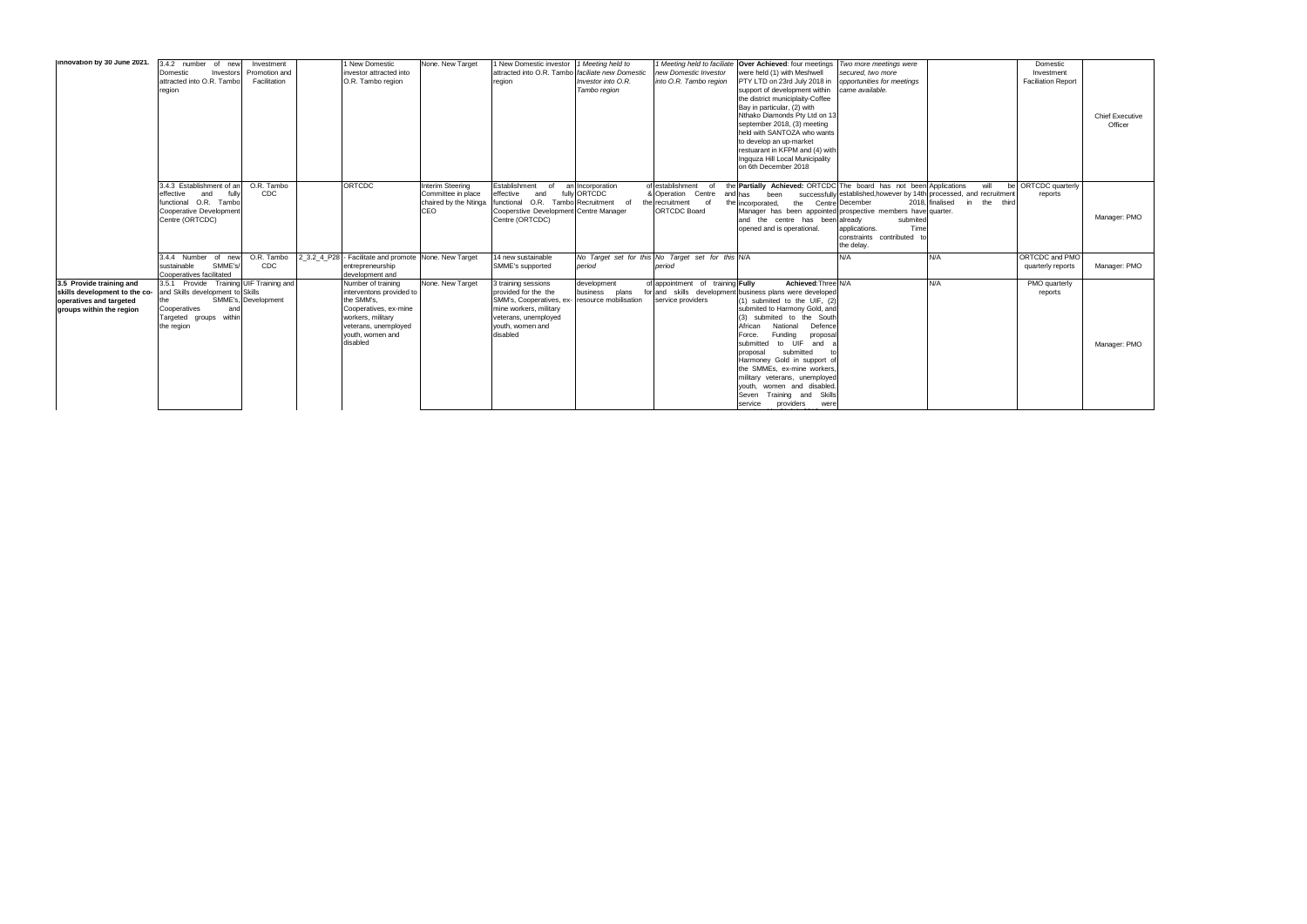| linnovation by 30 June 2021.                                                                                     | 3.4.2 number of new<br>Domestic<br>Investors<br>attracted into O.R. Tambo<br>region                                                        | Investment<br>Promotion and<br>Facilitation | 1 New Domestic<br>investor attracted into<br>O.R. Tambo region                                                                                                     | None. New Target                                      | 1 New Domestic investor<br>attracted into O.R. Tambo faciliate new Domestic<br>region                                                                                           | 1 Meeting held to<br>Investor into O.R.<br>Tambo region | new Domestic Investor<br>into O.R. Tambo region                                              | 1 Meeting held to faciliate Over Achieved: four meetings<br>were held (1) with Meshwell<br>PTY LTD on 23rd July 2018 in<br>support of development within<br>the district municiplaity-Coffee<br>Bay in particular, (2) with<br>Nthako Diamonds Pty Ltd on 13<br>september 2018, (3) meeting<br>held with SANTOZA who wants<br>to develop an up-market<br>restuarant in KFPM and (4) with<br>Ingquza Hill Local Municipality<br>on 6th December 2018                                                  | Two more meetings were<br>secured, two more<br>opportunities for meetings<br>came available.                                                       |                                         | Domestic<br>Investment<br><b>Faciliation Report</b> | <b>Chief Executive</b><br>Officer |
|------------------------------------------------------------------------------------------------------------------|--------------------------------------------------------------------------------------------------------------------------------------------|---------------------------------------------|--------------------------------------------------------------------------------------------------------------------------------------------------------------------|-------------------------------------------------------|---------------------------------------------------------------------------------------------------------------------------------------------------------------------------------|---------------------------------------------------------|----------------------------------------------------------------------------------------------|------------------------------------------------------------------------------------------------------------------------------------------------------------------------------------------------------------------------------------------------------------------------------------------------------------------------------------------------------------------------------------------------------------------------------------------------------------------------------------------------------|----------------------------------------------------------------------------------------------------------------------------------------------------|-----------------------------------------|-----------------------------------------------------|-----------------------------------|
|                                                                                                                  | 3.4.3 Establishment of an<br>effective<br>fully<br>and<br>functional O.R. Tambo<br>Cooperative Development<br>Centre (ORTCDC)              | O.R. Tambo<br><b>CDC</b>                    | <b>ORTCDC</b>                                                                                                                                                      | Interim Steering<br>Committee in place<br>CEO         | Establishment<br>of<br>effective<br>and<br>chaired by the Ntinga functional O.R. Tambo Recruitment<br>Cooperstive Development Centre Manager<br>Centre (ORTCDC)                 | an Incorporation<br>fully ORTCDC<br>of                  | of establishment<br>of<br>& Operation Centre<br>of<br>the recruitment<br><b>ORTCDC Board</b> | the Partially Achieved: ORTCDC The board has not been Applications<br>been<br>and has<br>the Centre December<br>the incorporated.<br>Manager has been appointed prospective members have quarter.<br>and the centre has been already<br>opened and is operational.                                                                                                                                                                                                                                   | successfully established, however by 14th processed, and recruitment<br>submited<br>Time<br>applications.<br>constraints contributed<br>the delay. | will<br>2018, finalised<br>in the third | be ORTCDC quarterly<br>reports                      | Manager: PMO                      |
|                                                                                                                  | 3.4.4 Number of new<br>SMME's/<br>sustainable<br>Cooperatives facilitated                                                                  | O.R. Tambo<br><b>CDC</b>                    | entrepreneurship<br>development and                                                                                                                                | 2 3.2 4 P28 - Facilitate and promote None, New Target | 14 new sustainable<br>SMME's supported                                                                                                                                          | period                                                  | No Target set for this No Target set for this N/A<br>period                                  |                                                                                                                                                                                                                                                                                                                                                                                                                                                                                                      | N/A                                                                                                                                                | N/A                                     | ORTCDC and PMO<br>quarterly reports                 | Manager: PMO                      |
| 3.5 Provide training and<br>skills development to the co-<br>operatives and targeted<br>groups within the region | 3.5.1 Provide Training UIF Training and<br>and Skills development to Skills<br>Cooperatives<br>and<br>Targeted groups within<br>the region | SMME's. Development                         | Number of training<br>interventons provided to<br>the SMM's.<br>Cooperatives, ex-mine<br>workers, military<br>veterans, unemployed<br>vouth, women and<br>disabled | None. New Target                                      | 3 training sessions<br>provided for the the<br>SMM's, Cooperatives, ex- resource mobilisation<br>mine workers, military<br>veterans, unemployed<br>vouth, women and<br>disabled | development<br>business<br>plans                        | of appointment of training Fully<br>service providers                                        | Achieved: Three N/A<br>for and skills development business plans were developed<br>(1) submited to the UIF, (2)<br>submited to Harmony Gold, and<br>(3) submited to the South<br>National<br>Defence<br>African<br>Funding<br>Force.<br>proposal<br>submitted<br>to UIF<br>and<br>submitted<br>proposal<br>Harmoney Gold in support of<br>the SMMEs. ex-mine workers.<br>military veterans, unemployed<br>youth, women and disabled.<br>Training and Skills<br>Seven<br>service<br>providers<br>were |                                                                                                                                                    | N/A                                     | PMO quarterly<br>reports                            | Manager: PMO                      |

appendix 21 July 2018.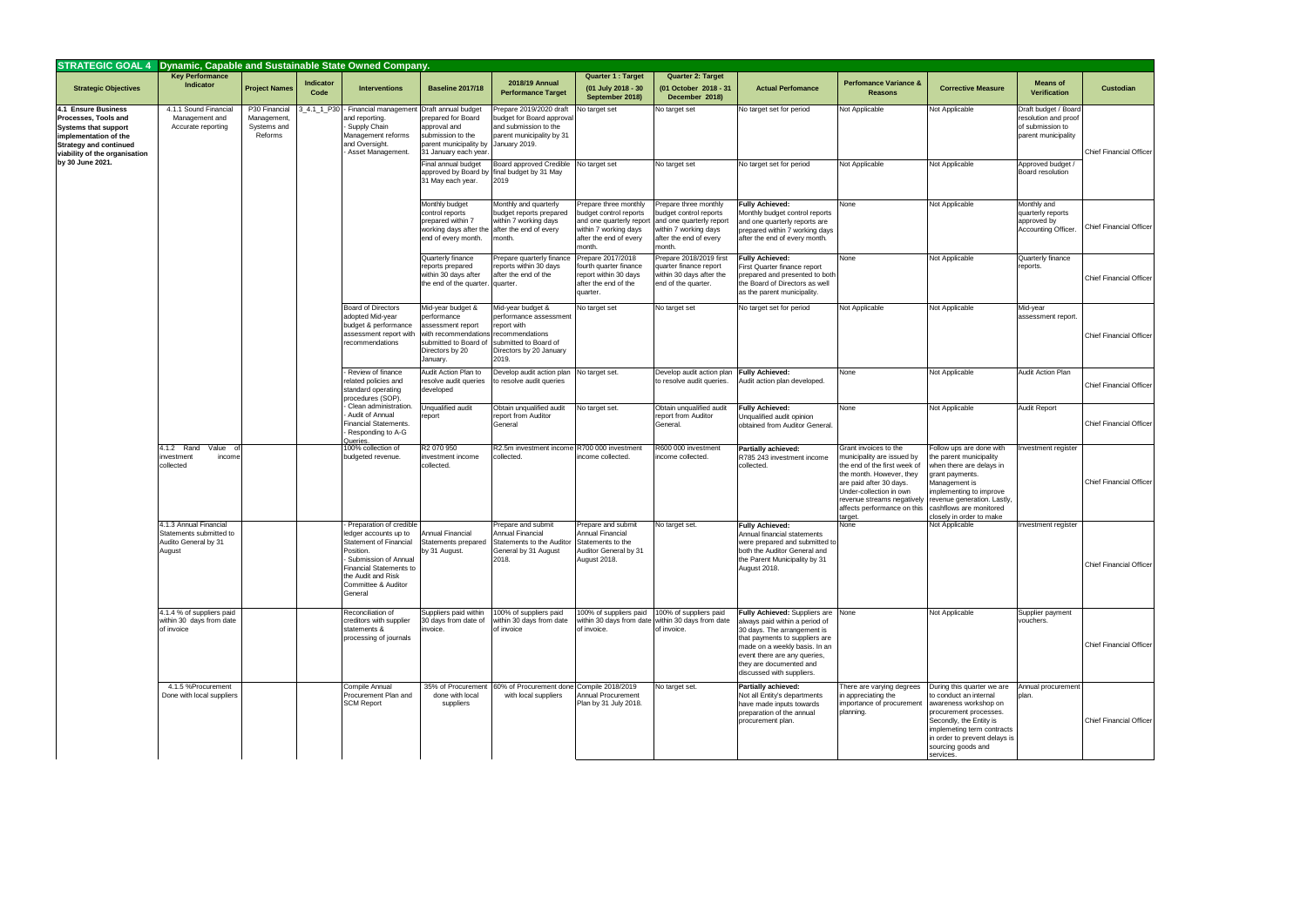| STRATEGIC GOAL 4 Dynamic, Capable and Sustainable State Owned Company.                                                                                                |                                                                                     |                                                        |                   |                                                                                                                                                                                                          |                                                                                                                                                       |                                                                                                                                      |                                                                                                                                          |                                                                                                                                          |                                                                                                                                                                                                                                                                |                                                                                                                                                                                                                                              |                                                                                                                                                                                                                                      |                                                                                         |                                |
|-----------------------------------------------------------------------------------------------------------------------------------------------------------------------|-------------------------------------------------------------------------------------|--------------------------------------------------------|-------------------|----------------------------------------------------------------------------------------------------------------------------------------------------------------------------------------------------------|-------------------------------------------------------------------------------------------------------------------------------------------------------|--------------------------------------------------------------------------------------------------------------------------------------|------------------------------------------------------------------------------------------------------------------------------------------|------------------------------------------------------------------------------------------------------------------------------------------|----------------------------------------------------------------------------------------------------------------------------------------------------------------------------------------------------------------------------------------------------------------|----------------------------------------------------------------------------------------------------------------------------------------------------------------------------------------------------------------------------------------------|--------------------------------------------------------------------------------------------------------------------------------------------------------------------------------------------------------------------------------------|-----------------------------------------------------------------------------------------|--------------------------------|
| <b>Strategic Objectives</b>                                                                                                                                           | <b>Key Performance</b><br>Indicator                                                 | <b>Project Names</b>                                   | Indicator<br>Code | <b>Interventions</b>                                                                                                                                                                                     | <b>Baseline 2017/18</b>                                                                                                                               | 2018/19 Annual<br><b>Performance Target</b>                                                                                          | <b>Quarter 1: Target</b><br>(01 July 2018 - 30<br>September 2018)                                                                        | Quarter 2: Target<br>(01 October 2018 - 31<br>December 2018)                                                                             | <b>Actual Perfomance</b>                                                                                                                                                                                                                                       | <b>Perfomance Variance &amp;</b><br><b>Reasons</b>                                                                                                                                                                                           | <b>Corrective Measure</b>                                                                                                                                                                                                            | <b>Means of</b><br><b>Verification</b>                                                  | Custodian                      |
| 4.1 Ensure Business<br>Processes, Tools and<br><b>Systems that support</b><br>implementation of the<br><b>Strategy and continued</b><br>viability of the organisation | 4.1.1 Sound Financial<br>Management and<br>Accurate reporting                       | P30 Financial<br>Management,<br>Systems and<br>Reforms | 4.1 1 P30         | Financial management<br>and reporting.<br>- Supply Chain<br>Management reforms<br>and Oversight.<br>Asset Management.                                                                                    | Draft annual budget<br>prepared for Board<br>approval and<br>submission to the<br>parent municipality by<br>31 January each year                      | Prepare 2019/2020 draft<br>budget for Board approval<br>and submission to the<br>parent municipality by 31<br>January 2019.          | No target set                                                                                                                            | No target set                                                                                                                            | No target set for period                                                                                                                                                                                                                                       | <b>Not Applicable</b>                                                                                                                                                                                                                        | Not Applicable                                                                                                                                                                                                                       | Draft budget / Board<br>resolution and proof<br>of submission to<br>parent municipality | <b>Chief Financial Officer</b> |
| by 30 June 2021.                                                                                                                                                      |                                                                                     |                                                        |                   |                                                                                                                                                                                                          | Final annual budget<br>31 May each year.                                                                                                              | Board approved Credible No target set<br>approved by Board by final budget by 31 May<br>2019                                         |                                                                                                                                          | No target set                                                                                                                            | No target set for period                                                                                                                                                                                                                                       | Not Applicable                                                                                                                                                                                                                               | Not Applicable                                                                                                                                                                                                                       | Approved budget /<br>Board resolution                                                   |                                |
|                                                                                                                                                                       |                                                                                     |                                                        |                   |                                                                                                                                                                                                          | Monthly budget<br>control reports<br>prepared within 7<br>end of every month.                                                                         | Monthly and quarterly<br>budget reports prepared<br>within 7 working days<br>working days after the after the end of every<br>month. | Prepare three monthly<br>budget control reports<br>and one quarterly report<br>within 7 working days<br>after the end of every<br>month. | Prepare three monthly<br>budget control reports<br>and one quarterly report<br>within 7 working days<br>after the end of every<br>month. | <b>Fully Achieved:</b><br>Monthly budget control reports<br>and one quarterly reports are<br>prepared within 7 working days<br>after the end of every month.                                                                                                   | None                                                                                                                                                                                                                                         | Not Applicable                                                                                                                                                                                                                       | Monthly and<br>quarterly reports<br>approved by<br>Accounting Officer.                  | <b>Chief Financial Officer</b> |
|                                                                                                                                                                       |                                                                                     |                                                        |                   |                                                                                                                                                                                                          | Quarterly finance<br>reports prepared<br>within 30 days after<br>the end of the quarter.                                                              | Prepare quarterly finance<br>reports within 30 days<br>after the end of the<br>quarter.                                              | Prepare 2017/2018<br>fourth quarter finance<br>report within 30 days<br>after the end of the<br>quarter.                                 | Prepare 2018/2019 first<br>quarter finance report<br>within 30 days after the<br>end of the quarter.                                     | <b>Fully Achieved:</b><br>First Quarter finance report<br>prepared and presented to both<br>the Board of Directors as well<br>as the parent municipality.                                                                                                      | None                                                                                                                                                                                                                                         | Not Applicable                                                                                                                                                                                                                       | Quarterly finance<br>reports.                                                           | <b>Chief Financial Officer</b> |
|                                                                                                                                                                       |                                                                                     |                                                        |                   | <b>Board of Directors</b><br>adopted Mid-year<br>budget & performance<br>assessment report with<br>recommendations                                                                                       | Mid-year budget &<br>performance<br>assessment report<br>with recommendations recommendations<br>submitted to Board of<br>Directors by 20<br>January. | Mid-year budget &<br>performance assessment<br>report with<br>submitted to Board of<br>Directors by 20 January<br>2019.              | No target set                                                                                                                            | No target set                                                                                                                            | No target set for period                                                                                                                                                                                                                                       | Not Applicable                                                                                                                                                                                                                               | Not Applicable                                                                                                                                                                                                                       | Mid-year<br>assessment report.                                                          | <b>Chief Financial Officer</b> |
|                                                                                                                                                                       |                                                                                     |                                                        |                   | - Review of finance<br>related policies and<br>standard operating<br>procedures (SOP).<br>Clean administration<br>Audit of Annual<br><b>Financial Statements.</b><br>Responding to A-G<br>Queries.       | Audit Action Plan to<br>resolve audit queries<br>developed                                                                                            | Develop audit action plan No target set.<br>to resolve audit queries                                                                 |                                                                                                                                          | Develop audit action plan<br>to resolve audit queries.                                                                                   | <b>Fully Achieved:</b><br>Audit action plan developed.                                                                                                                                                                                                         | None                                                                                                                                                                                                                                         | Not Applicable                                                                                                                                                                                                                       | Audit Action Plan                                                                       | <b>Chief Financial Officer</b> |
|                                                                                                                                                                       |                                                                                     |                                                        |                   |                                                                                                                                                                                                          | Unqualified audit<br>report                                                                                                                           | Obtain unqualified audit<br>report from Auditor<br>General                                                                           | No target set.                                                                                                                           | Obtain unqualified audit<br>report from Auditor<br>General.                                                                              | <b>Fully Achieved:</b><br>Unqualified audit opinion<br>obtained from Auditor General.                                                                                                                                                                          | None                                                                                                                                                                                                                                         | Not Applicable                                                                                                                                                                                                                       | <b>Audit Report</b>                                                                     | <b>Chief Financial Officer</b> |
|                                                                                                                                                                       | 4.1.2 Rand<br>Value of<br>nvestment<br>income<br>collected                          |                                                        |                   | 100% collection of<br>budgeted revenue.                                                                                                                                                                  | R2 070 950<br>investment income<br>collected.                                                                                                         | R2.5m investment income R700 000 investment<br>collected.                                                                            | income collected.                                                                                                                        | R600 000 investment<br>income collected.                                                                                                 | Partially achieved:<br>R785 243 investment income<br>collected.                                                                                                                                                                                                | Grant invoices to the<br>municipality are issued by<br>the end of the first week of<br>the month. However, they<br>are paid after 30 days.<br>Under-collection in own<br>revenue streams negatively<br>affects performance on this<br>arget. | Follow ups are done with<br>the parent municipality<br>when there are delays in<br>grant payments.<br>Management is<br>implementing to improve<br>revenue generation. Lastly<br>cashflows are monitored<br>closely in order to make  | nvestment register                                                                      | <b>Chief Financial Officer</b> |
|                                                                                                                                                                       | 4.1.3 Annual Financial<br>Statements submitted to<br>Audito General by 31<br>August |                                                        |                   | Preparation of credible<br>edger accounts up to<br><b>Statement of Financial</b><br>Position.<br>Submission of Annual<br>Financial Statements to<br>the Audit and Risk<br>Committee & Auditor<br>General | Annual Financial<br>Statements prepared<br>by 31 August.                                                                                              | Prepare and submit<br>Annual Financial<br>Statements to the Auditor Statements to the<br>General by 31 August<br>2018.               | Prepare and submit<br>Annual Financial<br>Auditor General by 31<br>August 2018.                                                          | No target set.                                                                                                                           | <b>Fully Achieved:</b><br>Annual financial statements<br>were prepared and submitted to<br>both the Auditor General and<br>the Parent Municipality by 31<br>August 2018.                                                                                       | None                                                                                                                                                                                                                                         | Not Applicable                                                                                                                                                                                                                       | Investment register                                                                     | Chief Financial Officer        |
|                                                                                                                                                                       | 4.1.4 % of suppliers paid<br>within 30 days from date<br>of invoice                 |                                                        |                   | Reconciliation of<br>creditors with supplier<br>statements &<br>processing of journals                                                                                                                   | Suppliers paid within<br>30 days from date of<br>invoice.                                                                                             | 100% of suppliers paid<br>within 30 days from date<br>of invoice                                                                     | of invoice.                                                                                                                              | 100% of suppliers paid 100% of suppliers paid<br>within 30 days from date within 30 days from date<br>of invoice.                        | Fully Achieved: Suppliers are None<br>always paid within a period of<br>30 days. The arrangement is<br>that payments to suppliers are<br>made on a weekly basis. In an<br>event there are any queries,<br>they are documented and<br>discussed with suppliers. |                                                                                                                                                                                                                                              | Not Applicable                                                                                                                                                                                                                       | Supplier payment<br>vouchers.                                                           | <b>Chief Financial Officer</b> |
|                                                                                                                                                                       | 4.1.5 %Procurement<br>Done with local suppliers                                     |                                                        |                   | Compile Annual<br>Procurement Plan and<br><b>SCM Report</b>                                                                                                                                              | 35% of Procuremen<br>done with local<br>suppliers                                                                                                     | 60% of Procurement done Compile 2018/2019<br>with local suppliers                                                                    | Annual Procurement<br>Plan by 31 July 2018.                                                                                              | No target set.                                                                                                                           | Partially achieved:<br>Not all Entity's departments<br>have made inputs towards<br>preparation of the annual<br>procurement plan.                                                                                                                              | There are varying degrees<br>in appreciating the<br>importance of procurement<br>planning.                                                                                                                                                   | During this quarter we are<br>to conduct an internal<br>awareness workshop on<br>procurement processes.<br>Secondly, the Entity is<br>implemeting term contracts<br>in order to prevent delays is<br>sourcing goods and<br>services. | Annual procurement<br>plan.                                                             | Chief Financial Officer        |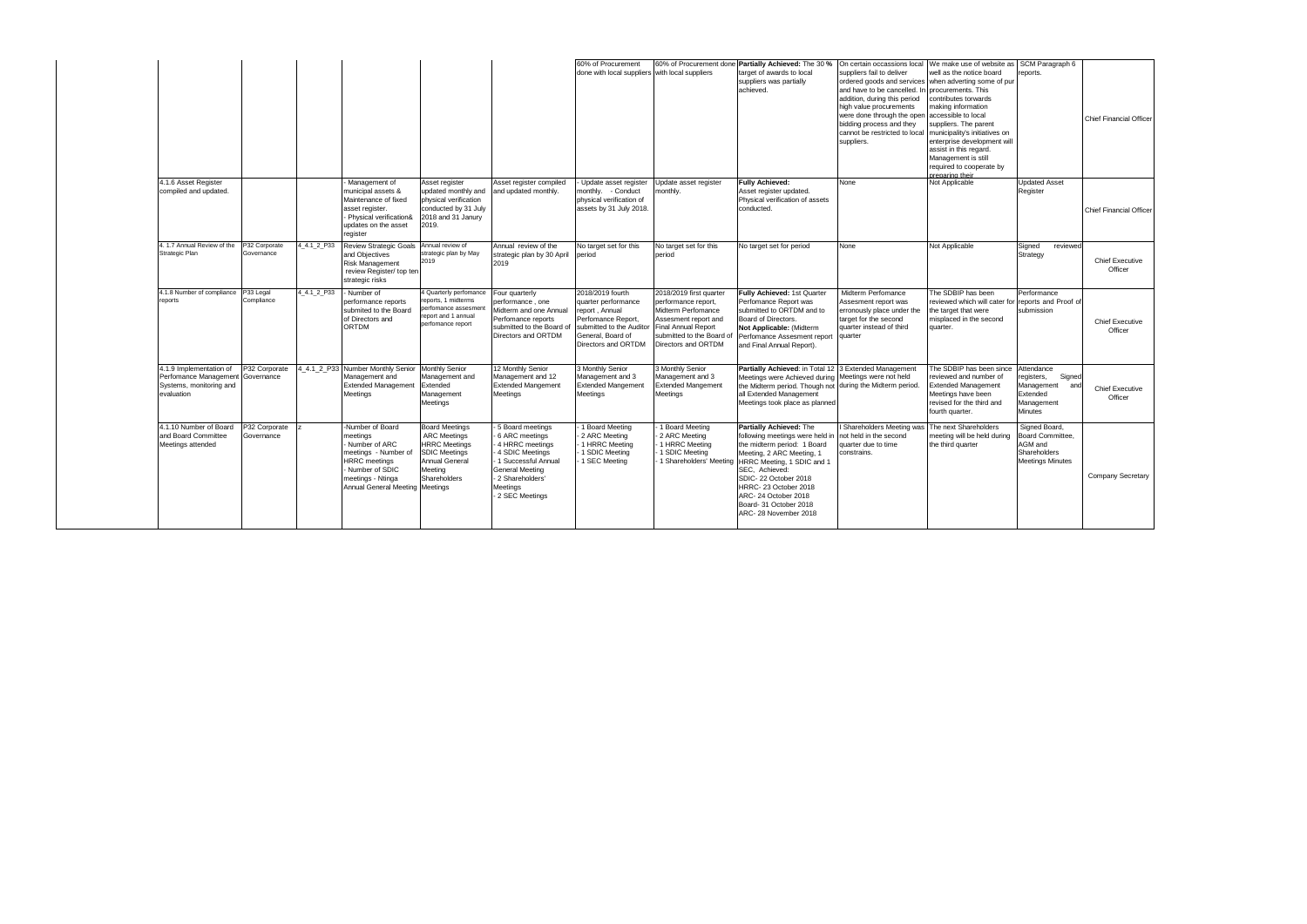|                                                                                           |                             |             |                                                                                                                                                                        |                                                                                                                                           |                                                                                                                                                                                | 60% of Procurement<br>done with local suppliers with local suppliers                                                                                    |                                                                                                                                                                                | 60% of Procurement done Partially Achieved: The 30 %<br>target of awards to local<br>suppliers was partially<br>achieved.                                                                                                                                                                       | On certain occassions local<br>suppliers fail to deliver<br>and have to be cancelled. In<br>addition, during this period<br>high value procurements<br>were done through the open<br>bidding process and they<br>cannot be restricted to local<br>suppliers. | We make use of website as SCM Paragraph 6<br>well as the notice board<br>ordered goods and services when adverting some of pur<br>procurements. This<br>contributes torwards<br>making information<br>accessible to local<br>suppliers. The parent<br>municipality's initiatives on<br>enterprise development will<br>assist in this regard.<br>Management is still<br>required to cooperate by<br>preparing their | reports.                                                                                            | <b>Chief Financial Officer</b>    |
|-------------------------------------------------------------------------------------------|-----------------------------|-------------|------------------------------------------------------------------------------------------------------------------------------------------------------------------------|-------------------------------------------------------------------------------------------------------------------------------------------|--------------------------------------------------------------------------------------------------------------------------------------------------------------------------------|---------------------------------------------------------------------------------------------------------------------------------------------------------|--------------------------------------------------------------------------------------------------------------------------------------------------------------------------------|-------------------------------------------------------------------------------------------------------------------------------------------------------------------------------------------------------------------------------------------------------------------------------------------------|--------------------------------------------------------------------------------------------------------------------------------------------------------------------------------------------------------------------------------------------------------------|--------------------------------------------------------------------------------------------------------------------------------------------------------------------------------------------------------------------------------------------------------------------------------------------------------------------------------------------------------------------------------------------------------------------|-----------------------------------------------------------------------------------------------------|-----------------------------------|
| 4.1.6 Asset Register<br>compiled and updated.                                             |                             |             | Management of<br>municipal assets &<br>Maintenance of fixed<br>asset register.<br>Physical verification&<br>updates on the asset<br>register                           | Asset register<br>updated monthly and<br>physical verification<br>conducted by 31 July<br>2018 and 31 Janury<br>2019.                     | Asset register compiled<br>and updated monthly.                                                                                                                                | Update asset register<br>monthly. - Conduct<br>physical verification of<br>assets by 31 July 2018.                                                      | Jpdate asset register<br>monthly.                                                                                                                                              | <b>Fully Achieved:</b><br>Asset register updated.<br>Physical verification of assets<br>conducted.                                                                                                                                                                                              | None                                                                                                                                                                                                                                                         | Not Applicable                                                                                                                                                                                                                                                                                                                                                                                                     | <b>Updated Asset</b><br>Register                                                                    | <b>Chief Financial Officer</b>    |
| 4. 1.7 Annual Review of the<br>Strategic Plan                                             | P32 Corporate<br>Governance | 4 4.1 2 P33 | <b>Review Strategic Goals</b><br>and Objectives<br><b>Risk Management</b><br>review Register/ top ten<br>strategic risks                                               | Annual review of<br>strategic plan by May<br>2019                                                                                         | Annual review of the<br>strategic plan by 30 April<br>2019                                                                                                                     | No target set for this<br>period                                                                                                                        | No target set for this<br>period                                                                                                                                               | No target set for period                                                                                                                                                                                                                                                                        | None                                                                                                                                                                                                                                                         | Not Applicable                                                                                                                                                                                                                                                                                                                                                                                                     | Signed<br>reviewed<br>Strategy                                                                      | <b>Chief Executive</b><br>Officer |
| 4.1.8 Number of compliance<br>reports                                                     | P33 Legal<br>Compliance     | 4 4.1 2 P33 | Number of<br>performance reports<br>submited to the Board<br>of Directors and<br>ORTDM                                                                                 | 4 Quarterly perfomance<br>reports, 1 midterms<br>perfomance assesme<br>report and 1 annual<br>perfomance report                           | Four quarterly<br>performance, one<br>Midterm and one Annual<br>Perfomance reports<br>submitted to the Board of<br>Directors and ORTDM                                         | 2018/2019 fourth<br>quarter performance<br>report, Annual<br>Perfomance Report,<br>submitted to the Auditor<br>General, Board of<br>Directors and ORTDM | 2018/2019 first quarter<br>performance report,<br>Midterm Perfomance<br>Assesment report and<br><b>Final Annual Report</b><br>submitted to the Board of<br>Directors and ORTDM | Fully Achieved: 1st Quarter<br>Perfomance Report was<br>submitted to ORTDM and to<br>Board of Directors.<br>Not Applicable: (Midterm<br>Perfomance Assesment report<br>and Final Annual Report).                                                                                                | Midterm Perfomance<br>Assesment report was<br>erronously place under the<br>target for the second<br>quarter instead of third<br>quarter                                                                                                                     | The SDBIP has been<br>reviewed which will cater for reports and Proof of<br>the target that were<br>misplaced in the second<br>quarter.                                                                                                                                                                                                                                                                            | Performance<br>submission                                                                           | <b>Chief Executive</b><br>Officer |
| 4.1.9 Implementation of<br>Perfomance Management<br>Systems, monitoring and<br>evaluation | P32 Corporate<br>Governance |             | 4 4.1 2 P33 Number Monthly Senior<br>Management and<br><b>Extended Management</b><br>Meetings                                                                          | <b>Monthly Senior</b><br>Management and<br>Extended<br>Management<br>Meetings                                                             | 12 Monthly Senior<br>Management and 12<br><b>Extended Mangement</b><br>Meetings                                                                                                | <b>B Monthly Senior</b><br>Management and 3<br><b>Extended Mangement</b><br>Meetings                                                                    | <b>Monthly Senior</b><br>Management and 3<br><b>Extended Mangement</b><br>Meetings                                                                                             | Partially Achieved: in Total 12<br>Meetings were Achieved during Meetings were not held<br>the Midterm period. Though not during the Midterm period.<br>all Extended Management<br>Meetings took place as planned                                                                               | 3 Extended Management                                                                                                                                                                                                                                        | The SDBIP has been since<br>reviewed and number of<br><b>Extended Management</b><br>Meetings have been<br>revised for the third and<br>fourth quarter.                                                                                                                                                                                                                                                             | Attendance<br>registers,<br>Signed<br>Management<br>and<br>Extended<br>Management<br><b>Minutes</b> | <b>Chief Executive</b><br>Officer |
| 4.1.10 Number of Board<br>and Board Committee<br>Meetings attended                        | P32 Corporate<br>Governance |             | Number of Board<br>meetings<br>Number of ARC<br>meetings - Number of<br><b>HRRC</b> meetings<br>Number of SDIC<br>meetings - Ntinga<br>Annual General Meeting Meetings | <b>Board Meetings</b><br><b>ARC Meetings</b><br><b>HRRC Meetings</b><br><b>SDIC Meetings</b><br>Annual General<br>Meeting<br>Shareholders | 5 Board meetings<br>6 ARC meetings<br>4 HRRC meetings<br>- 4 SDIC Meetings<br>1 Successful Annual<br><b>General Meeting</b><br>- 2 Shareholders'<br>Meetings<br>2 SEC Meetings | 1 Board Meeting<br>2 ARC Meeting<br>1 HRRC Meeting<br>1 SDIC Meeting<br>1 SEC Meeting                                                                   | 1 Board Meeting<br>2 ARC Meeting<br>1 HRRC Meeting<br>1 SDIC Meeting<br>1 Shareholders' Meeting                                                                                | Partially Achieved: The<br>following meetings were held in<br>the midterm period: 1 Board<br>Meeting, 2 ARC Meeting, 1<br>HRRC Meeting, 1 SDIC and 1<br>SEC, Achieved:<br>SDIC-22 October 2018<br>HRRC-23 October 2018<br>ARC-24 October 2018<br>Board- 31 October 2018<br>ARC-28 November 2018 | Shareholders Meeting was<br>not held in the second<br>quarter due to time<br>constrains.                                                                                                                                                                     | The next Shareholders<br>meeting will be held during<br>the third quarter                                                                                                                                                                                                                                                                                                                                          | Signed Board,<br>Board Committee,<br>AGM and<br>Shareholders<br><b>Meetings Minutes</b>             | <b>Company Secretary</b>          |